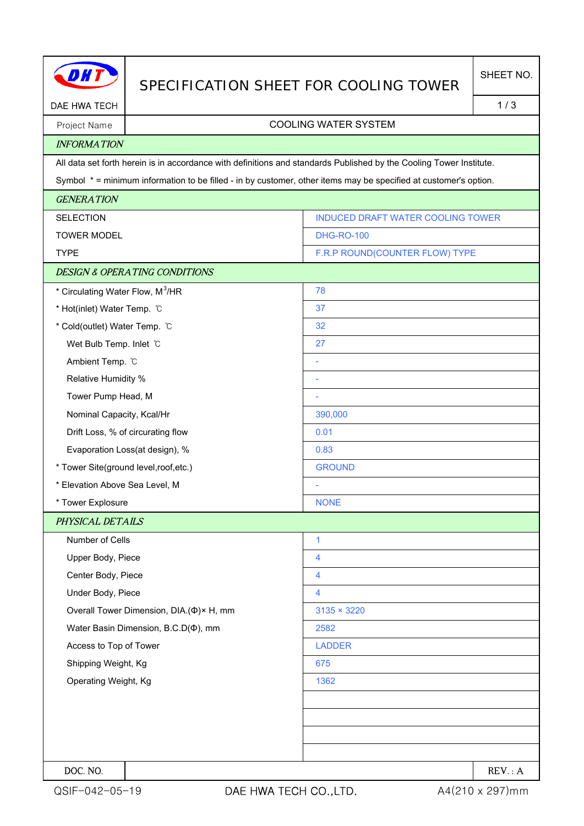|                                              |                                          | SPECIFICATION SHEET FOR COOLING TOWER                                                                               | SHEET NO. |  |
|----------------------------------------------|------------------------------------------|---------------------------------------------------------------------------------------------------------------------|-----------|--|
| DAE HWA TECH                                 |                                          | 1/3                                                                                                                 |           |  |
| <b>COOLING WATER SYSTEM</b><br>Project Name  |                                          |                                                                                                                     |           |  |
| <b>INFORMATION</b>                           |                                          |                                                                                                                     |           |  |
|                                              |                                          | All data set forth herein is in accordance with definitions and standards Published by the Cooling Tower Institute. |           |  |
|                                              |                                          | Symbol * = minimum information to be filled - in by customer, other items may be specified at customer's option.    |           |  |
| <b>GENERATION</b>                            |                                          |                                                                                                                     |           |  |
| <b>SELECTION</b>                             |                                          | INDUCED DRAFT WATER COOLING TOWER                                                                                   |           |  |
| <b>TOWER MODEL</b>                           |                                          | <b>DHG-RO-100</b>                                                                                                   |           |  |
| <b>TYPE</b>                                  |                                          | F.R.P ROUND(COUNTER FLOW) TYPE                                                                                      |           |  |
|                                              | <b>DESIGN &amp; OPERATING CONDITIONS</b> |                                                                                                                     |           |  |
| * Circulating Water Flow, M <sup>3</sup> /HR |                                          | 78                                                                                                                  |           |  |
| * Hot(inlet) Water Temp. C                   |                                          | 37                                                                                                                  |           |  |
| * Cold(outlet) Water Temp. C                 |                                          | 32                                                                                                                  |           |  |
| Wet Bulb Temp. Inlet C                       |                                          | 27                                                                                                                  |           |  |
| Ambient Temp. °C                             |                                          | ÷                                                                                                                   |           |  |
| Relative Humidity %                          |                                          | ÷                                                                                                                   |           |  |
| Tower Pump Head, M                           |                                          | ÷                                                                                                                   |           |  |
| Nominal Capacity, Kcal/Hr                    |                                          | 390,000                                                                                                             |           |  |
| Drift Loss, % of circurating flow            |                                          | 0.01                                                                                                                |           |  |
| Evaporation Loss(at design), %               |                                          | 0.83                                                                                                                |           |  |
| * Tower Site(ground level, roof, etc.)       |                                          | <b>GROUND</b>                                                                                                       |           |  |
| * Elevation Above Sea Level, M               |                                          |                                                                                                                     |           |  |
| * Tower Explosure                            |                                          | <b>NONE</b>                                                                                                         |           |  |
| PHYSICAL DETAILS                             |                                          |                                                                                                                     |           |  |
| Number of Cells                              |                                          | $\mathbf{1}$                                                                                                        |           |  |
| Upper Body, Piece                            |                                          | 4                                                                                                                   |           |  |
| Center Body, Piece                           |                                          | 4                                                                                                                   |           |  |
| Under Body, Piece                            |                                          | 4                                                                                                                   |           |  |
|                                              | Overall Tower Dimension, DIA.(Φ)× H, mm  | $3135 \times 3220$                                                                                                  |           |  |
| Water Basin Dimension, B.C.D( $\Phi$ ), mm   |                                          | 2582                                                                                                                |           |  |
| Access to Top of Tower                       |                                          | <b>LADDER</b>                                                                                                       |           |  |
| Shipping Weight, Kg                          |                                          | 675                                                                                                                 |           |  |
| Operating Weight, Kg                         |                                          | 1362                                                                                                                |           |  |
|                                              |                                          |                                                                                                                     |           |  |
|                                              |                                          |                                                                                                                     |           |  |
|                                              |                                          |                                                                                                                     |           |  |
|                                              |                                          |                                                                                                                     |           |  |
| DOC. NO.                                     |                                          |                                                                                                                     | REV: A    |  |

H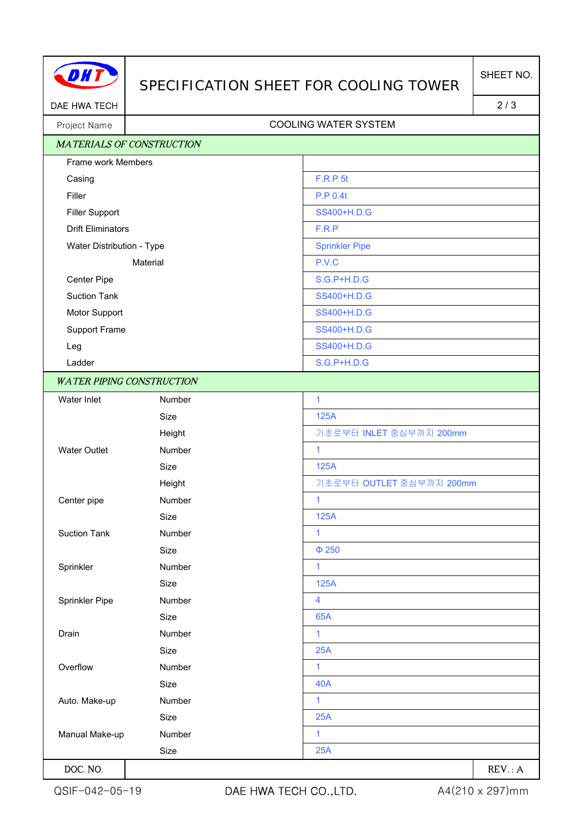

## SPECIFICATION SHEET FOR COOLING TOWER

DAE HWA TECH 2/3

## Project Name | Name | Name | Name | Name | Name | Name | Name | Name | Name | Name | Name | Name | Name | Name | Name | Name | Name | Name | Name | Name | Name | Name | Name | Name | Name | Name | Name | Name | Name | Name

| <b>MATERIALS OF CONSTRUCTION</b> |        |                          |
|----------------------------------|--------|--------------------------|
| Frame work Members               |        |                          |
| Casing                           |        | <b>F.R.P 5t</b>          |
| Filler                           |        | P.P 0.4t                 |
| <b>Filler Support</b>            |        | SS400+H.D.G              |
| <b>Drift Eliminators</b>         |        | F.R.P                    |
| Water Distribution - Type        |        | <b>Sprinkler Pipe</b>    |
| Material                         |        | P.V.C                    |
| Center Pipe                      |        | S.G.P+H.D.G              |
| <b>Suction Tank</b>              |        | SS400+H.D.G              |
| Motor Support                    |        | SS400+H.D.G              |
| Support Frame                    |        | SS400+H.D.G              |
| Leg                              |        | SS400+H.D.G              |
| Ladder                           |        | S.G.P+H.D.G              |
| <b>WATER PIPING CONSTRUCTION</b> |        |                          |
| Water Inlet                      | Number | $\mathbf{1}$             |
|                                  | Size   | 125A                     |
|                                  | Height | 기초로부터 INLET 중심부까지 200mm  |
| <b>Water Outlet</b>              | Number | $\mathbf{1}$             |
|                                  | Size   | 125A                     |
|                                  | Height | 기초로부터 OUTLET 중심부까지 200mm |
| Center pipe                      | Number | 1                        |
|                                  | Size   | 125A                     |
| <b>Suction Tank</b>              | Number | 1                        |
|                                  | Size   | $\Phi$ 250               |
| Sprinkler                        | Number | $\mathbf{1}$             |
|                                  | Size   | 125A                     |
| Sprinkler Pipe                   | Number | 4                        |
|                                  | Size   | 65A                      |
| Drain                            | Number | 1                        |
|                                  | Size   | 25A                      |
| Overflow                         | Number | $\mathbf{1}$             |
|                                  | Size   | <b>40A</b>               |
| Auto. Make-up                    | Number | $\mathbf{1}$             |
|                                  | Size   | 25A                      |
| Manual Make-up                   | Number | 1                        |
|                                  | Size   | 25A                      |
| DOC. NO.                         |        | REV: A                   |